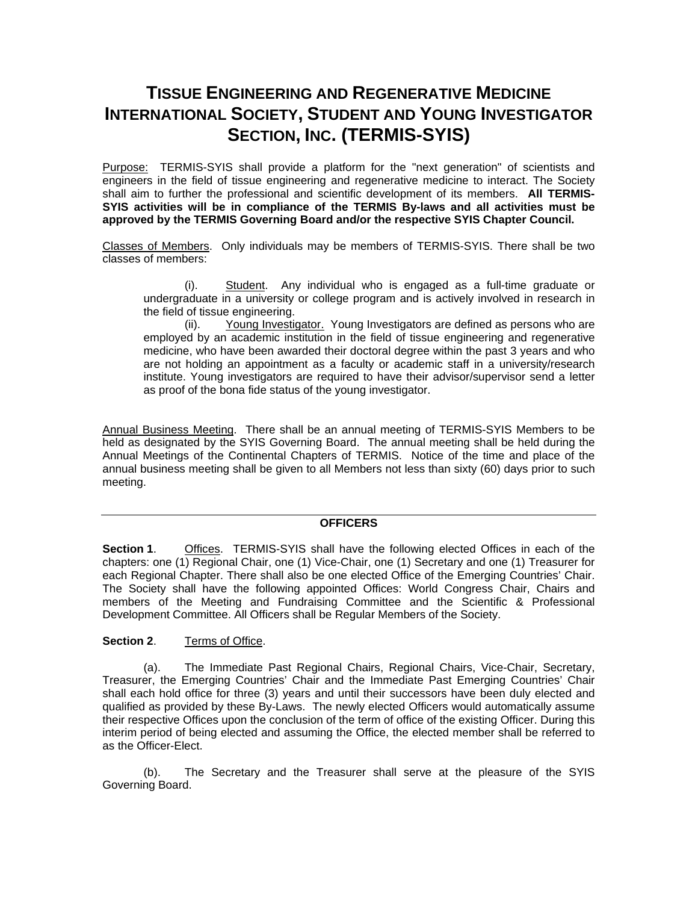# **TISSUE ENGINEERING AND REGENERATIVE MEDICINE INTERNATIONAL SOCIETY, STUDENT AND YOUNG INVESTIGATOR SECTION, INC. (TERMIS-SYIS)**

Purpose: TERMIS-SYIS shall provide a platform for the "next generation" of scientists and engineers in the field of tissue engineering and regenerative medicine to interact. The Society shall aim to further the professional and scientific development of its members. **All TERMIS-SYIS activities will be in compliance of the TERMIS By-laws and all activities must be approved by the TERMIS Governing Board and/or the respective SYIS Chapter Council.** 

Classes of Members. Only individuals may be members of TERMIS-SYIS. There shall be two classes of members:

(i). Student. Any individual who is engaged as a full-time graduate or undergraduate in a university or college program and is actively involved in research in the field of tissue engineering.

(ii). Young Investigator. Young Investigators are defined as persons who are employed by an academic institution in the field of tissue engineering and regenerative medicine, who have been awarded their doctoral degree within the past 3 years and who are not holding an appointment as a faculty or academic staff in a university/research institute. Young investigators are required to have their advisor/supervisor send a letter as proof of the bona fide status of the young investigator.

Annual Business Meeting. There shall be an annual meeting of TERMIS-SYIS Members to be held as designated by the SYIS Governing Board. The annual meeting shall be held during the Annual Meetings of the Continental Chapters of TERMIS. Notice of the time and place of the annual business meeting shall be given to all Members not less than sixty (60) days prior to such meeting.

### **OFFICERS**

**Section 1**. Offices. TERMIS-SYIS shall have the following elected Offices in each of the chapters: one (1) Regional Chair, one (1) Vice-Chair, one (1) Secretary and one (1) Treasurer for each Regional Chapter. There shall also be one elected Office of the Emerging Countries' Chair. The Society shall have the following appointed Offices: World Congress Chair, Chairs and members of the Meeting and Fundraising Committee and the Scientific & Professional Development Committee. All Officers shall be Regular Members of the Society.

#### **Section 2**. Terms of Office.

(a). The Immediate Past Regional Chairs, Regional Chairs, Vice-Chair, Secretary, Treasurer, the Emerging Countries' Chair and the Immediate Past Emerging Countries' Chair shall each hold office for three (3) years and until their successors have been duly elected and qualified as provided by these By-Laws. The newly elected Officers would automatically assume their respective Offices upon the conclusion of the term of office of the existing Officer. During this interim period of being elected and assuming the Office, the elected member shall be referred to as the Officer-Elect.

(b). The Secretary and the Treasurer shall serve at the pleasure of the SYIS Governing Board.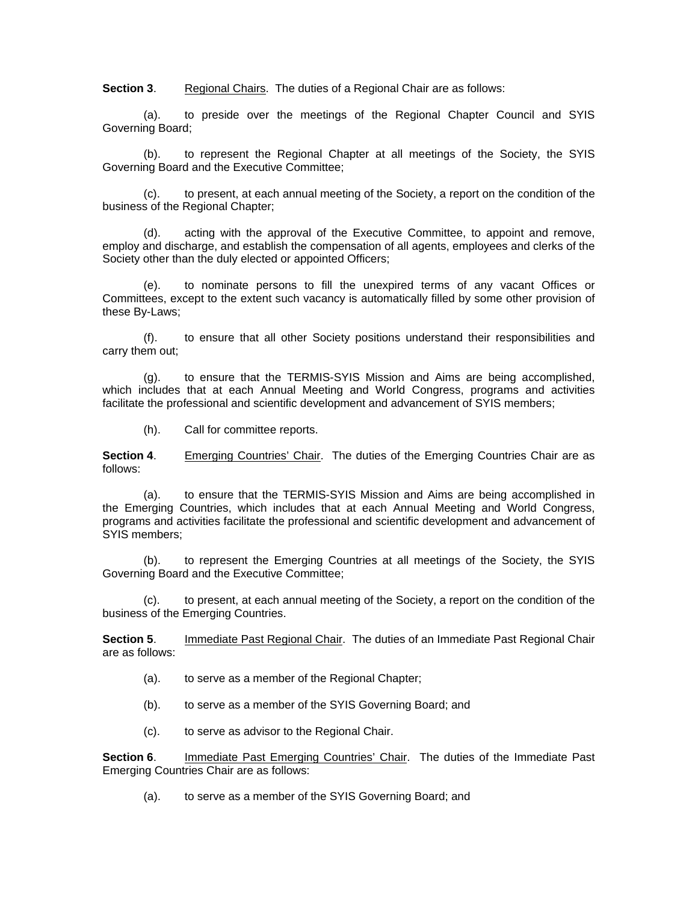**Section 3.** Regional Chairs. The duties of a Regional Chair are as follows:

(a). to preside over the meetings of the Regional Chapter Council and SYIS Governing Board;

(b). to represent the Regional Chapter at all meetings of the Society, the SYIS Governing Board and the Executive Committee;

(c). to present, at each annual meeting of the Society, a report on the condition of the business of the Regional Chapter;

(d). acting with the approval of the Executive Committee, to appoint and remove, employ and discharge, and establish the compensation of all agents, employees and clerks of the Society other than the duly elected or appointed Officers;

to nominate persons to fill the unexpired terms of any vacant Offices or Committees, except to the extent such vacancy is automatically filled by some other provision of these By-Laws;

(f). to ensure that all other Society positions understand their responsibilities and carry them out;

(g). to ensure that the TERMIS-SYIS Mission and Aims are being accomplished, which includes that at each Annual Meeting and World Congress, programs and activities facilitate the professional and scientific development and advancement of SYIS members;

(h). Call for committee reports.

**Section 4.** Emerging Countries' Chair. The duties of the Emerging Countries Chair are as follows:

(a). to ensure that the TERMIS-SYIS Mission and Aims are being accomplished in the Emerging Countries, which includes that at each Annual Meeting and World Congress, programs and activities facilitate the professional and scientific development and advancement of SYIS members;

(b). to represent the Emerging Countries at all meetings of the Society, the SYIS Governing Board and the Executive Committee;

(c). to present, at each annual meeting of the Society, a report on the condition of the business of the Emerging Countries.

**Section 5.** Immediate Past Regional Chair. The duties of an Immediate Past Regional Chair are as follows:

- (a). to serve as a member of the Regional Chapter;
- (b). to serve as a member of the SYIS Governing Board; and
- (c). to serve as advisor to the Regional Chair.

**Section 6.** Immediate Past Emerging Countries' Chair. The duties of the Immediate Past Emerging Countries Chair are as follows:

(a). to serve as a member of the SYIS Governing Board; and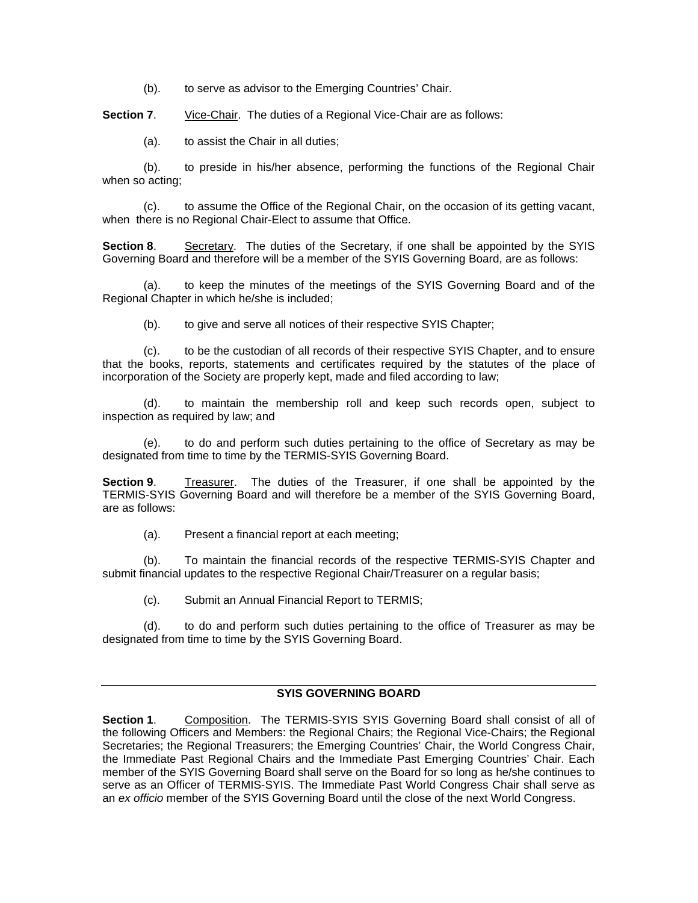(b). to serve as advisor to the Emerging Countries' Chair.

**Section 7.** Vice-Chair. The duties of a Regional Vice-Chair are as follows:

(a). to assist the Chair in all duties;

(b). to preside in his/her absence, performing the functions of the Regional Chair when so acting;

(c). to assume the Office of the Regional Chair, on the occasion of its getting vacant, when there is no Regional Chair-Elect to assume that Office.

**Section 8**. Secretary. The duties of the Secretary, if one shall be appointed by the SYIS Governing Board and therefore will be a member of the SYIS Governing Board, are as follows:

to keep the minutes of the meetings of the SYIS Governing Board and of the Regional Chapter in which he/she is included;

(b). to give and serve all notices of their respective SYIS Chapter;

(c). to be the custodian of all records of their respective SYIS Chapter, and to ensure that the books, reports, statements and certificates required by the statutes of the place of incorporation of the Society are properly kept, made and filed according to law;

(d). to maintain the membership roll and keep such records open, subject to inspection as required by law; and

(e). to do and perform such duties pertaining to the office of Secretary as may be designated from time to time by the TERMIS-SYIS Governing Board.

**Section 9**. Treasurer. The duties of the Treasurer, if one shall be appointed by the TERMIS-SYIS Governing Board and will therefore be a member of the SYIS Governing Board, are as follows:

(a). Present a financial report at each meeting;

(b). To maintain the financial records of the respective TERMIS-SYIS Chapter and submit financial updates to the respective Regional Chair/Treasurer on a regular basis;

(c). Submit an Annual Financial Report to TERMIS;

(d). to do and perform such duties pertaining to the office of Treasurer as may be designated from time to time by the SYIS Governing Board.

#### **SYIS GOVERNING BOARD**

**Section 1**. Composition. The TERMIS-SYIS SYIS Governing Board shall consist of all of the following Officers and Members: the Regional Chairs; the Regional Vice-Chairs; the Regional Secretaries; the Regional Treasurers; the Emerging Countries' Chair, the World Congress Chair, the Immediate Past Regional Chairs and the Immediate Past Emerging Countries' Chair. Each member of the SYIS Governing Board shall serve on the Board for so long as he/she continues to serve as an Officer of TERMIS-SYIS. The Immediate Past World Congress Chair shall serve as an *ex officio* member of the SYIS Governing Board until the close of the next World Congress.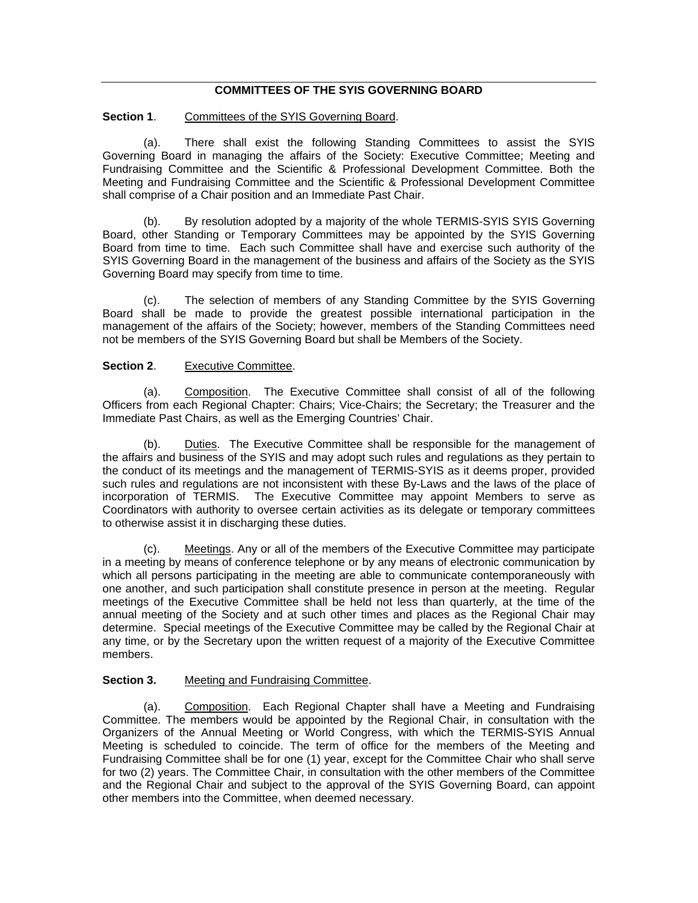# **COMMITTEES OF THE SYIS GOVERNING BOARD**

**Section 1.** Committees of the SYIS Governing Board.

(a). There shall exist the following Standing Committees to assist the SYIS Governing Board in managing the affairs of the Society: Executive Committee; Meeting and Fundraising Committee and the Scientific & Professional Development Committee. Both the Meeting and Fundraising Committee and the Scientific & Professional Development Committee shall comprise of a Chair position and an Immediate Past Chair.

(b). By resolution adopted by a majority of the whole TERMIS-SYIS SYIS Governing Board, other Standing or Temporary Committees may be appointed by the SYIS Governing Board from time to time. Each such Committee shall have and exercise such authority of the SYIS Governing Board in the management of the business and affairs of the Society as the SYIS Governing Board may specify from time to time.

(c). The selection of members of any Standing Committee by the SYIS Governing Board shall be made to provide the greatest possible international participation in the management of the affairs of the Society; however, members of the Standing Committees need not be members of the SYIS Governing Board but shall be Members of the Society.

#### **Section 2.** Executive Committee.

(a). Composition. The Executive Committee shall consist of all of the following Officers from each Regional Chapter: Chairs; Vice-Chairs; the Secretary; the Treasurer and the Immediate Past Chairs, as well as the Emerging Countries' Chair.

(b). Duties. The Executive Committee shall be responsible for the management of the affairs and business of the SYIS and may adopt such rules and regulations as they pertain to the conduct of its meetings and the management of TERMIS-SYIS as it deems proper, provided such rules and regulations are not inconsistent with these By-Laws and the laws of the place of incorporation of TERMIS. The Executive Committee may appoint Members to serve as Coordinators with authority to oversee certain activities as its delegate or temporary committees to otherwise assist it in discharging these duties.

Meetings. Any or all of the members of the Executive Committee may participate in a meeting by means of conference telephone or by any means of electronic communication by which all persons participating in the meeting are able to communicate contemporaneously with one another, and such participation shall constitute presence in person at the meeting. Regular meetings of the Executive Committee shall be held not less than quarterly, at the time of the annual meeting of the Society and at such other times and places as the Regional Chair may determine. Special meetings of the Executive Committee may be called by the Regional Chair at any time, or by the Secretary upon the written request of a majority of the Executive Committee members.

#### **Section 3.** Meeting and Fundraising Committee.

(a). Composition. Each Regional Chapter shall have a Meeting and Fundraising Committee. The members would be appointed by the Regional Chair, in consultation with the Organizers of the Annual Meeting or World Congress, with which the TERMIS-SYIS Annual Meeting is scheduled to coincide. The term of office for the members of the Meeting and Fundraising Committee shall be for one (1) year, except for the Committee Chair who shall serve for two (2) years. The Committee Chair, in consultation with the other members of the Committee and the Regional Chair and subject to the approval of the SYIS Governing Board, can appoint other members into the Committee, when deemed necessary.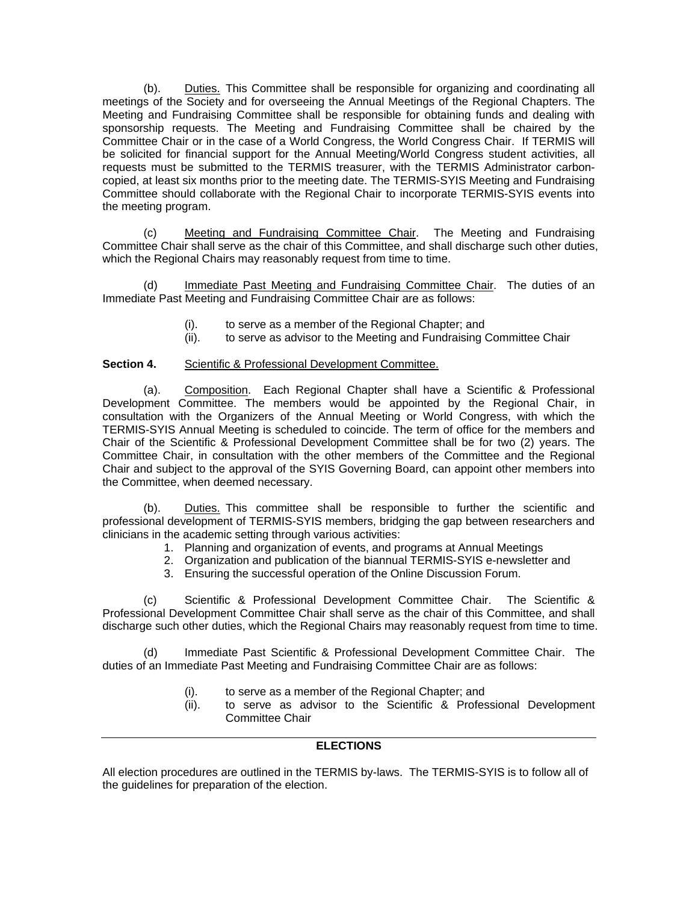(b). Duties. This Committee shall be responsible for organizing and coordinating all meetings of the Society and for overseeing the Annual Meetings of the Regional Chapters. The Meeting and Fundraising Committee shall be responsible for obtaining funds and dealing with sponsorship requests. The Meeting and Fundraising Committee shall be chaired by the Committee Chair or in the case of a World Congress, the World Congress Chair. If TERMIS will be solicited for financial support for the Annual Meeting/World Congress student activities, all requests must be submitted to the TERMIS treasurer, with the TERMIS Administrator carboncopied, at least six months prior to the meeting date. The TERMIS-SYIS Meeting and Fundraising Committee should collaborate with the Regional Chair to incorporate TERMIS-SYIS events into the meeting program.

(c) Meeting and Fundraising Committee Chair. The Meeting and Fundraising Committee Chair shall serve as the chair of this Committee, and shall discharge such other duties, which the Regional Chairs may reasonably request from time to time.

Immediate Past Meeting and Fundraising Committee Chair. The duties of an Immediate Past Meeting and Fundraising Committee Chair are as follows:

- (i). to serve as a member of the Regional Chapter; and
- (ii). to serve as advisor to the Meeting and Fundraising Committee Chair

#### **Section 4.** Scientific & Professional Development Committee.

(a). Composition. Each Regional Chapter shall have a Scientific & Professional Development Committee. The members would be appointed by the Regional Chair, in consultation with the Organizers of the Annual Meeting or World Congress, with which the TERMIS-SYIS Annual Meeting is scheduled to coincide. The term of office for the members and Chair of the Scientific & Professional Development Committee shall be for two (2) years. The Committee Chair, in consultation with the other members of the Committee and the Regional Chair and subject to the approval of the SYIS Governing Board, can appoint other members into the Committee, when deemed necessary.

(b). Duties. This committee shall be responsible to further the scientific and professional development of TERMIS-SYIS members, bridging the gap between researchers and clinicians in the academic setting through various activities:

- 1. Planning and organization of events, and programs at Annual Meetings
- 2. Organization and publication of the biannual TERMIS-SYIS e-newsletter and
- 3. Ensuring the successful operation of the Online Discussion Forum.

(c) Scientific & Professional Development Committee Chair. The Scientific & Professional Development Committee Chair shall serve as the chair of this Committee, and shall discharge such other duties, which the Regional Chairs may reasonably request from time to time.

(d) Immediate Past Scientific & Professional Development Committee Chair. The duties of an Immediate Past Meeting and Fundraising Committee Chair are as follows:

- (i). to serve as a member of the Regional Chapter; and
- (ii). to serve as advisor to the Scientific & Professional Development Committee Chair

## **ELECTIONS**

All election procedures are outlined in the TERMIS by-laws. The TERMIS-SYIS is to follow all of the guidelines for preparation of the election.